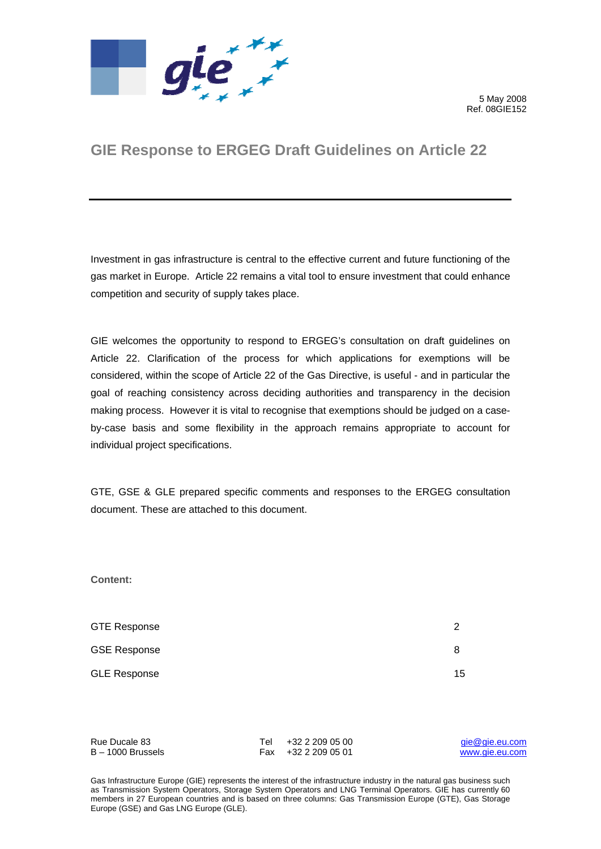

 5 May 2008 Ref. 08GIE152

# **GIE Response to ERGEG Draft Guidelines on Article 22**

Investment in gas infrastructure is central to the effective current and future functioning of the gas market in Europe. Article 22 remains a vital tool to ensure investment that could enhance competition and security of supply takes place.

GIE welcomes the opportunity to respond to ERGEG's consultation on draft guidelines on Article 22. Clarification of the process for which applications for exemptions will be considered, within the scope of Article 22 of the Gas Directive, is useful - and in particular the goal of reaching consistency across deciding authorities and transparency in the decision making process. However it is vital to recognise that exemptions should be judged on a caseby-case basis and some flexibility in the approach remains appropriate to account for individual project specifications.

GTE, GSE & GLE prepared specific comments and responses to the ERGEG consultation document. These are attached to this document.

**Content:** 

| <b>GTE Response</b> | ≘  |
|---------------------|----|
| <b>GSE Response</b> | 8  |
| <b>GLE Response</b> | 15 |

| Rue Ducale 83       | Tel +32 2 209 05 00 | gie@gie.eu.com |
|---------------------|---------------------|----------------|
| $B - 1000$ Brussels | Fax +32 2 209 05 01 | www.aie.eu.com |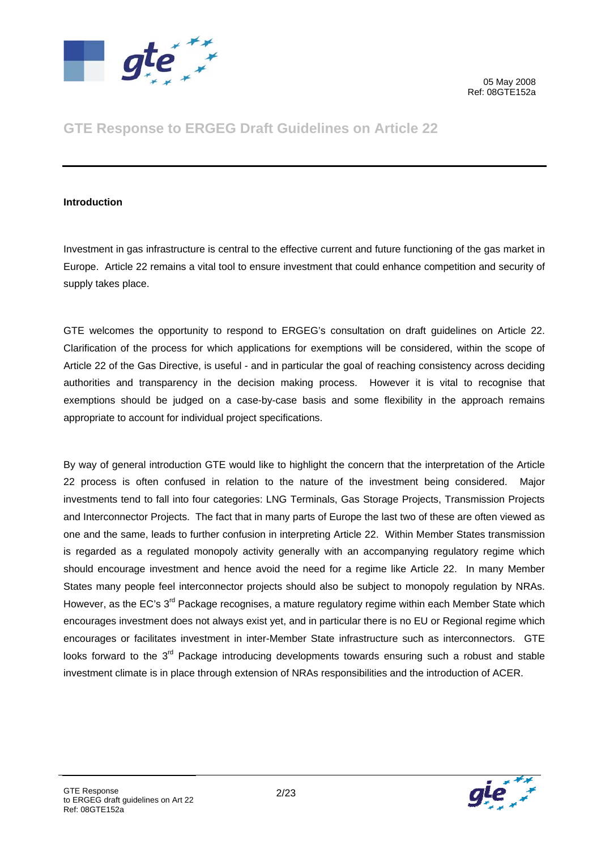

# **GTE Response to ERGEG Draft Guidelines on Article 22**

#### **Introduction**

Investment in gas infrastructure is central to the effective current and future functioning of the gas market in Europe. Article 22 remains a vital tool to ensure investment that could enhance competition and security of supply takes place.

GTE welcomes the opportunity to respond to ERGEG's consultation on draft guidelines on Article 22. Clarification of the process for which applications for exemptions will be considered, within the scope of Article 22 of the Gas Directive, is useful - and in particular the goal of reaching consistency across deciding authorities and transparency in the decision making process. However it is vital to recognise that exemptions should be judged on a case-by-case basis and some flexibility in the approach remains appropriate to account for individual project specifications.

By way of general introduction GTE would like to highlight the concern that the interpretation of the Article 22 process is often confused in relation to the nature of the investment being considered. Major investments tend to fall into four categories: LNG Terminals, Gas Storage Projects, Transmission Projects and Interconnector Projects. The fact that in many parts of Europe the last two of these are often viewed as one and the same, leads to further confusion in interpreting Article 22. Within Member States transmission is regarded as a regulated monopoly activity generally with an accompanying regulatory regime which should encourage investment and hence avoid the need for a regime like Article 22. In many Member States many people feel interconnector projects should also be subject to monopoly regulation by NRAs. However, as the EC's 3<sup>rd</sup> Package recognises, a mature regulatory regime within each Member State which encourages investment does not always exist yet, and in particular there is no EU or Regional regime which encourages or facilitates investment in inter-Member State infrastructure such as interconnectors. GTE looks forward to the 3<sup>rd</sup> Package introducing developments towards ensuring such a robust and stable investment climate is in place through extension of NRAs responsibilities and the introduction of ACER.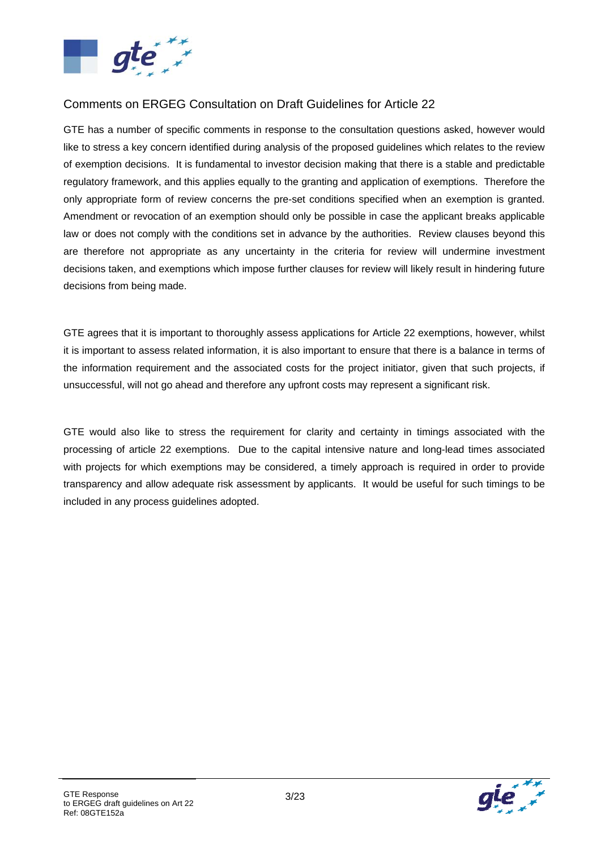

### Comments on ERGEG Consultation on Draft Guidelines for Article 22

GTE has a number of specific comments in response to the consultation questions asked, however would like to stress a key concern identified during analysis of the proposed guidelines which relates to the review of exemption decisions. It is fundamental to investor decision making that there is a stable and predictable regulatory framework, and this applies equally to the granting and application of exemptions. Therefore the only appropriate form of review concerns the pre-set conditions specified when an exemption is granted. Amendment or revocation of an exemption should only be possible in case the applicant breaks applicable law or does not comply with the conditions set in advance by the authorities. Review clauses beyond this are therefore not appropriate as any uncertainty in the criteria for review will undermine investment decisions taken, and exemptions which impose further clauses for review will likely result in hindering future decisions from being made.

GTE agrees that it is important to thoroughly assess applications for Article 22 exemptions, however, whilst it is important to assess related information, it is also important to ensure that there is a balance in terms of the information requirement and the associated costs for the project initiator, given that such projects, if unsuccessful, will not go ahead and therefore any upfront costs may represent a significant risk.

GTE would also like to stress the requirement for clarity and certainty in timings associated with the processing of article 22 exemptions. Due to the capital intensive nature and long-lead times associated with projects for which exemptions may be considered, a timely approach is required in order to provide transparency and allow adequate risk assessment by applicants. It would be useful for such timings to be included in any process guidelines adopted.

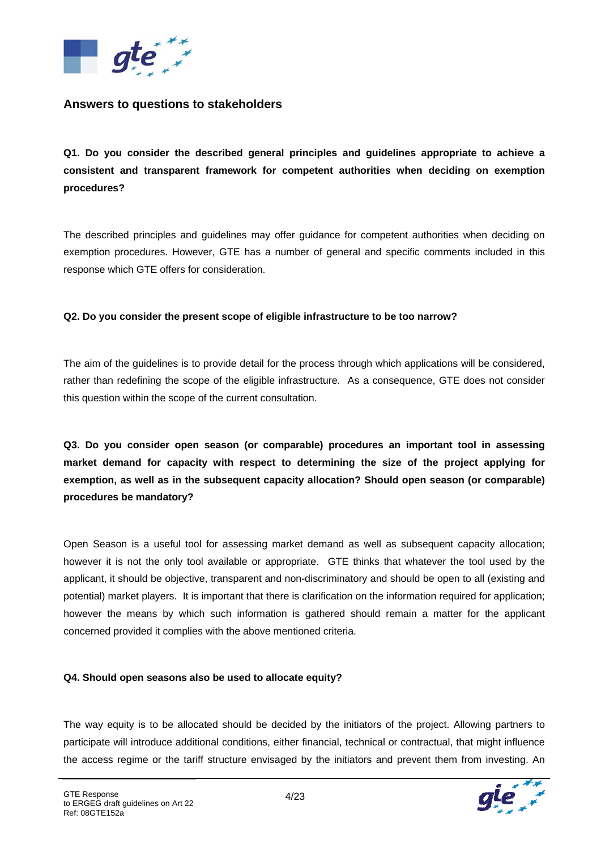

### **Answers to questions to stakeholders**

**Q1. Do you consider the described general principles and guidelines appropriate to achieve a consistent and transparent framework for competent authorities when deciding on exemption procedures?** 

The described principles and guidelines may offer guidance for competent authorities when deciding on exemption procedures. However, GTE has a number of general and specific comments included in this response which GTE offers for consideration.

#### **Q2. Do you consider the present scope of eligible infrastructure to be too narrow?**

The aim of the guidelines is to provide detail for the process through which applications will be considered, rather than redefining the scope of the eligible infrastructure. As a consequence, GTE does not consider this question within the scope of the current consultation.

**Q3. Do you consider open season (or comparable) procedures an important tool in assessing market demand for capacity with respect to determining the size of the project applying for exemption, as well as in the subsequent capacity allocation? Should open season (or comparable) procedures be mandatory?** 

Open Season is a useful tool for assessing market demand as well as subsequent capacity allocation; however it is not the only tool available or appropriate. GTE thinks that whatever the tool used by the applicant, it should be objective, transparent and non-discriminatory and should be open to all (existing and potential) market players. It is important that there is clarification on the information required for application; however the means by which such information is gathered should remain a matter for the applicant concerned provided it complies with the above mentioned criteria.

#### **Q4. Should open seasons also be used to allocate equity?**

The way equity is to be allocated should be decided by the initiators of the project. Allowing partners to participate will introduce additional conditions, either financial, technical or contractual, that might influence the access regime or the tariff structure envisaged by the initiators and prevent them from investing. An

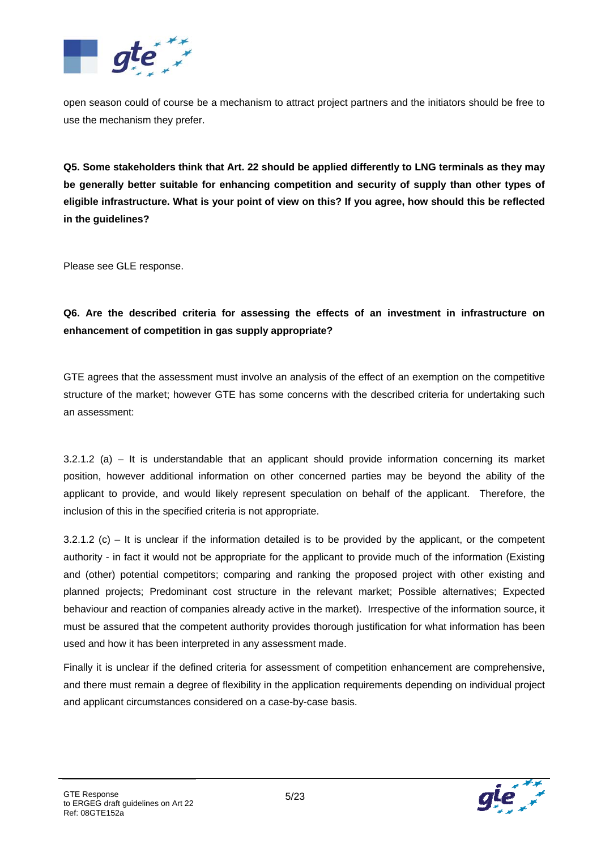

open season could of course be a mechanism to attract project partners and the initiators should be free to use the mechanism they prefer.

**Q5. Some stakeholders think that Art. 22 should be applied differently to LNG terminals as they may be generally better suitable for enhancing competition and security of supply than other types of eligible infrastructure. What is your point of view on this? If you agree, how should this be reflected in the guidelines?** 

Please see GLE response.

### **Q6. Are the described criteria for assessing the effects of an investment in infrastructure on enhancement of competition in gas supply appropriate?**

GTE agrees that the assessment must involve an analysis of the effect of an exemption on the competitive structure of the market; however GTE has some concerns with the described criteria for undertaking such an assessment:

3.2.1.2 (a) – It is understandable that an applicant should provide information concerning its market position, however additional information on other concerned parties may be beyond the ability of the applicant to provide, and would likely represent speculation on behalf of the applicant. Therefore, the inclusion of this in the specified criteria is not appropriate.

 $3.2.1.2$  (c) – It is unclear if the information detailed is to be provided by the applicant, or the competent authority - in fact it would not be appropriate for the applicant to provide much of the information (Existing and (other) potential competitors; comparing and ranking the proposed project with other existing and planned projects; Predominant cost structure in the relevant market; Possible alternatives; Expected behaviour and reaction of companies already active in the market). Irrespective of the information source, it must be assured that the competent authority provides thorough justification for what information has been used and how it has been interpreted in any assessment made.

Finally it is unclear if the defined criteria for assessment of competition enhancement are comprehensive, and there must remain a degree of flexibility in the application requirements depending on individual project and applicant circumstances considered on a case-by-case basis.

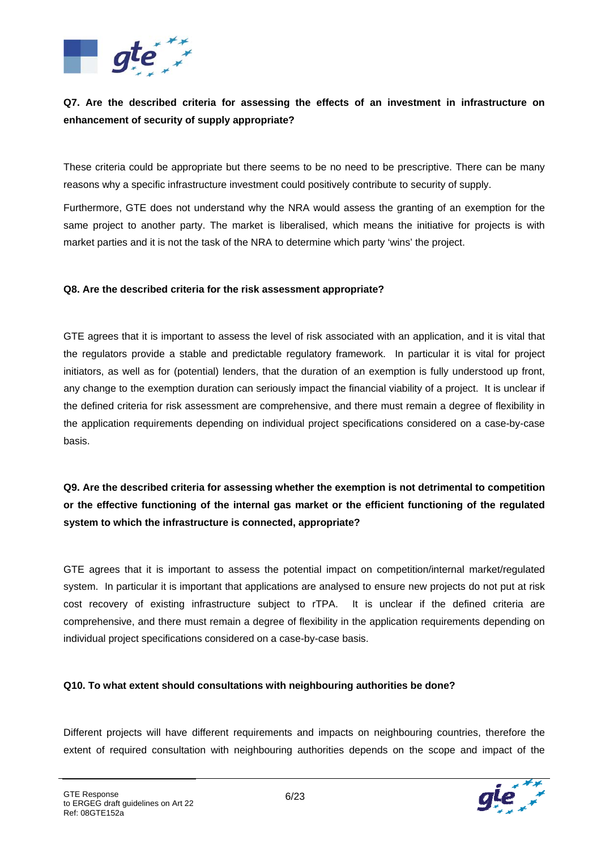

### **Q7. Are the described criteria for assessing the effects of an investment in infrastructure on enhancement of security of supply appropriate?**

These criteria could be appropriate but there seems to be no need to be prescriptive. There can be many reasons why a specific infrastructure investment could positively contribute to security of supply.

Furthermore, GTE does not understand why the NRA would assess the granting of an exemption for the same project to another party. The market is liberalised, which means the initiative for projects is with market parties and it is not the task of the NRA to determine which party 'wins' the project.

#### **Q8. Are the described criteria for the risk assessment appropriate?**

GTE agrees that it is important to assess the level of risk associated with an application, and it is vital that the regulators provide a stable and predictable regulatory framework. In particular it is vital for project initiators, as well as for (potential) lenders, that the duration of an exemption is fully understood up front, any change to the exemption duration can seriously impact the financial viability of a project. It is unclear if the defined criteria for risk assessment are comprehensive, and there must remain a degree of flexibility in the application requirements depending on individual project specifications considered on a case-by-case basis.

**Q9. Are the described criteria for assessing whether the exemption is not detrimental to competition or the effective functioning of the internal gas market or the efficient functioning of the regulated system to which the infrastructure is connected, appropriate?** 

GTE agrees that it is important to assess the potential impact on competition/internal market/regulated system. In particular it is important that applications are analysed to ensure new projects do not put at risk cost recovery of existing infrastructure subject to rTPA. It is unclear if the defined criteria are comprehensive, and there must remain a degree of flexibility in the application requirements depending on individual project specifications considered on a case-by-case basis.

#### **Q10. To what extent should consultations with neighbouring authorities be done?**

Different projects will have different requirements and impacts on neighbouring countries, therefore the extent of required consultation with neighbouring authorities depends on the scope and impact of the

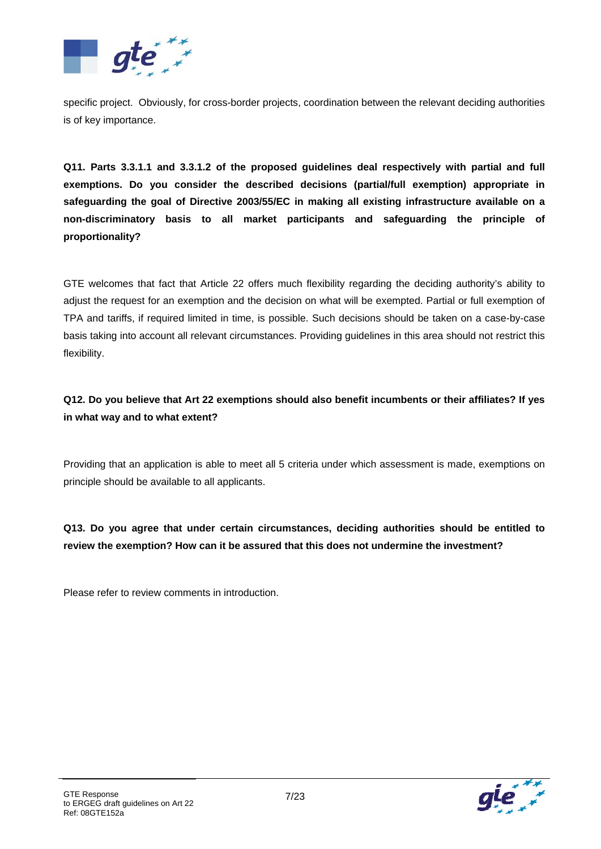

specific project. Obviously, for cross-border projects, coordination between the relevant deciding authorities is of key importance.

**Q11. Parts 3.3.1.1 and 3.3.1.2 of the proposed guidelines deal respectively with partial and full exemptions. Do you consider the described decisions (partial/full exemption) appropriate in safeguarding the goal of Directive 2003/55/EC in making all existing infrastructure available on a non-discriminatory basis to all market participants and safeguarding the principle of proportionality?** 

GTE welcomes that fact that Article 22 offers much flexibility regarding the deciding authority's ability to adjust the request for an exemption and the decision on what will be exempted. Partial or full exemption of TPA and tariffs, if required limited in time, is possible. Such decisions should be taken on a case-by-case basis taking into account all relevant circumstances. Providing guidelines in this area should not restrict this flexibility.

**Q12. Do you believe that Art 22 exemptions should also benefit incumbents or their affiliates? If yes in what way and to what extent?** 

Providing that an application is able to meet all 5 criteria under which assessment is made, exemptions on principle should be available to all applicants.

**Q13. Do you agree that under certain circumstances, deciding authorities should be entitled to review the exemption? How can it be assured that this does not undermine the investment?** 

Please refer to review comments in introduction.

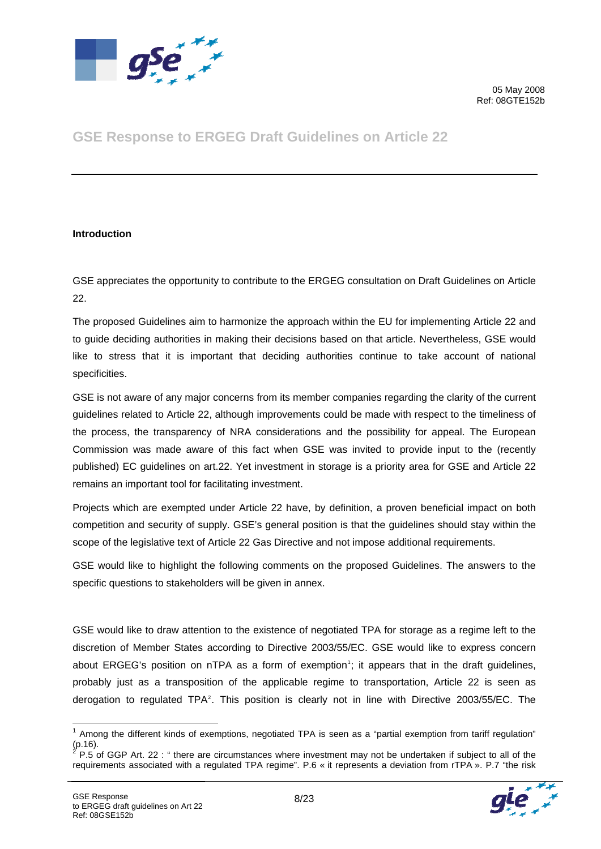

# **GSE Response to ERGEG Draft Guidelines on Article 22**

#### **Introduction**

GSE appreciates the opportunity to contribute to the ERGEG consultation on Draft Guidelines on Article 22.

The proposed Guidelines aim to harmonize the approach within the EU for implementing Article 22 and to guide deciding authorities in making their decisions based on that article. Nevertheless, GSE would like to stress that it is important that deciding authorities continue to take account of national specificities.

GSE is not aware of any major concerns from its member companies regarding the clarity of the current guidelines related to Article 22, although improvements could be made with respect to the timeliness of the process, the transparency of NRA considerations and the possibility for appeal. The European Commission was made aware of this fact when GSE was invited to provide input to the (recently published) EC guidelines on art.22. Yet investment in storage is a priority area for GSE and Article 22 remains an important tool for facilitating investment.

Projects which are exempted under Article 22 have, by definition, a proven beneficial impact on both competition and security of supply. GSE's general position is that the guidelines should stay within the scope of the legislative text of Article 22 Gas Directive and not impose additional requirements.

GSE would like to highlight the following comments on the proposed Guidelines. The answers to the specific questions to stakeholders will be given in annex.

GSE would like to draw attention to the existence of negotiated TPA for storage as a regime left to the discretion of Member States according to Directive 2003/55/EC. GSE would like to express concern about ERGEG's position on nTPA as a form of exemption<sup>[1](#page-7-0)</sup>; it appears that in the draft guidelines, probably just as a transposition of the applicable regime to transportation, Article 22 is seen as derogation to regulated TPA<sup>[2](#page-7-1)</sup>. This position is clearly not in line with Directive 2003/55/EC. The

<span id="page-7-0"></span><sup>1</sup>  $1$  Among the different kinds of exemptions, negotiated TPA is seen as a "partial exemption from tariff regulation"  $_{2.5}^{(p.16)}$ .

<span id="page-7-1"></span>P.5 of GGP Art. 22 : " there are circumstances where investment may not be undertaken if subject to all of the requirements associated with a regulated TPA regime". P.6 « it represents a deviation from rTPA ». P.7 "the risk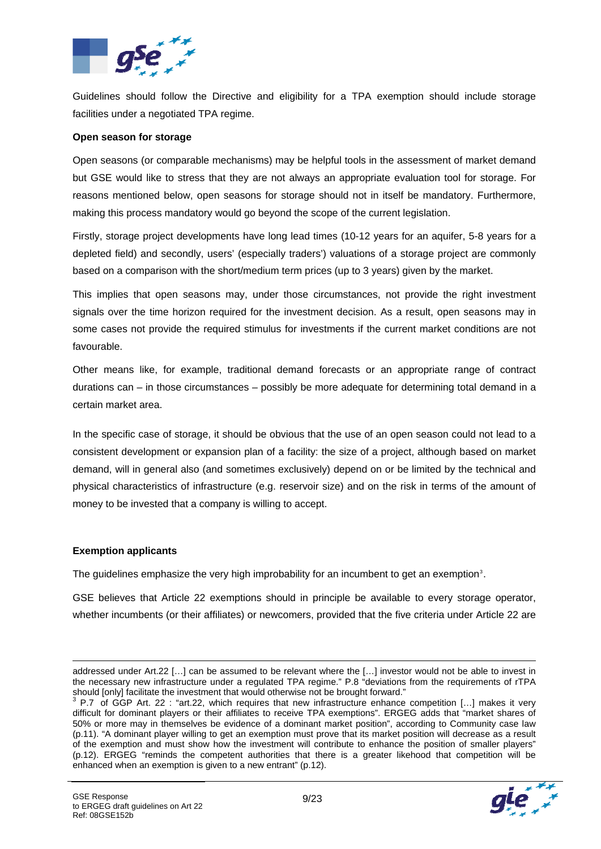

Guidelines should follow the Directive and eligibility for a TPA exemption should include storage facilities under a negotiated TPA regime.

#### **Open season for storage**

Open seasons (or comparable mechanisms) may be helpful tools in the assessment of market demand but GSE would like to stress that they are not always an appropriate evaluation tool for storage. For reasons mentioned below, open seasons for storage should not in itself be mandatory. Furthermore, making this process mandatory would go beyond the scope of the current legislation.

Firstly, storage project developments have long lead times (10-12 years for an aquifer, 5-8 years for a depleted field) and secondly, users' (especially traders') valuations of a storage project are commonly based on a comparison with the short/medium term prices (up to 3 years) given by the market.

This implies that open seasons may, under those circumstances, not provide the right investment signals over the time horizon required for the investment decision. As a result, open seasons may in some cases not provide the required stimulus for investments if the current market conditions are not favourable.

Other means like, for example, traditional demand forecasts or an appropriate range of contract durations can – in those circumstances – possibly be more adequate for determining total demand in a certain market area.

In the specific case of storage, it should be obvious that the use of an open season could not lead to a consistent development or expansion plan of a facility: the size of a project, although based on market demand, will in general also (and sometimes exclusively) depend on or be limited by the technical and physical characteristics of infrastructure (e.g. reservoir size) and on the risk in terms of the amount of money to be invested that a company is willing to accept.

#### **Exemption applicants**

1

The guidelines emphasize the very high improbability for an incumbent to get an exemption<sup>[3](#page-8-0)</sup>.

GSE believes that Article 22 exemptions should in principle be available to every storage operator, whether incumbents (or their affiliates) or newcomers, provided that the five criteria under Article 22 are

<span id="page-8-0"></span>difficult for dominant players or their affiliates to receive TPA exemptions". ERGEG adds that "market shares of 50% or more may in themselves be evidence of a dominant market position", according to Community case law (p.11). "A dominant player willing to get an exemption must prove that its market position will decrease as a result of the exemption and must show how the investment will contribute to enhance the position of smaller players" (p.12). ERGEG "reminds the competent authorities that there is a greater likehood that competition will be enhanced when an exemption is given to a new entrant" (p.12).



addressed under Art.22 […] can be assumed to be relevant where the […] investor would not be able to invest in the necessary new infrastructure under a regulated TPA regime." P.8 "deviations from the requirements of rTPA should [only] facilitate the investment that would otherwise not be brought forward."<br><sup>3</sup> P.7 of GGP Art. 22:"art.22, which requires that new infrastructure enhance competition […] makes it very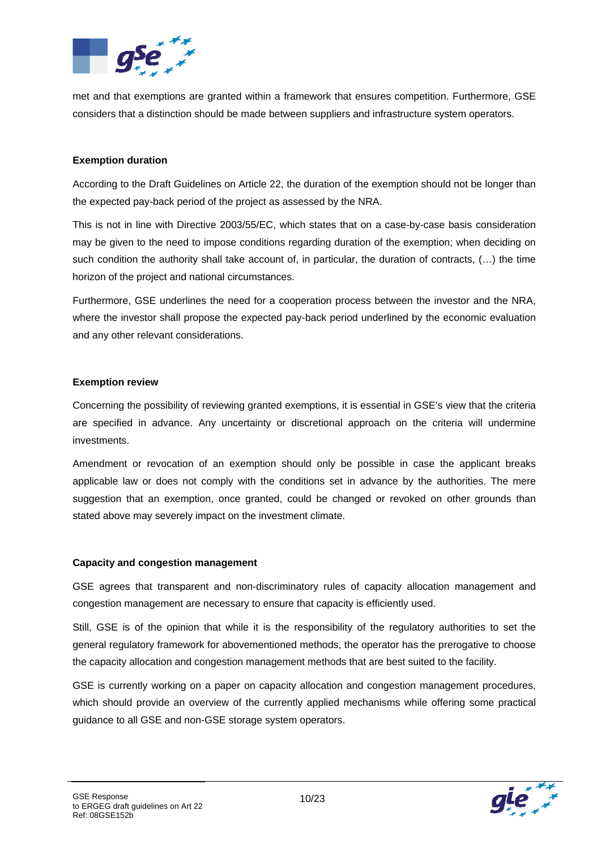

met and that exemptions are granted within a framework that ensures competition. Furthermore, GSE considers that a distinction should be made between suppliers and infrastructure system operators.

#### **Exemption duration**

According to the Draft Guidelines on Article 22, the duration of the exemption should not be longer than the expected pay-back period of the project as assessed by the NRA.

This is not in line with Directive 2003/55/EC, which states that on a case-by-case basis consideration may be given to the need to impose conditions regarding duration of the exemption; when deciding on such condition the authority shall take account of, in particular, the duration of contracts,  $(...)$  the time horizon of the project and national circumstances.

Furthermore, GSE underlines the need for a cooperation process between the investor and the NRA, where the investor shall propose the expected pay-back period underlined by the economic evaluation and any other relevant considerations.

#### **Exemption review**

Concerning the possibility of reviewing granted exemptions, it is essential in GSE's view that the criteria are specified in advance. Any uncertainty or discretional approach on the criteria will undermine investments.

Amendment or revocation of an exemption should only be possible in case the applicant breaks applicable law or does not comply with the conditions set in advance by the authorities. The mere suggestion that an exemption, once granted, could be changed or revoked on other grounds than stated above may severely impact on the investment climate.

#### **Capacity and congestion management**

GSE agrees that transparent and non-discriminatory rules of capacity allocation management and congestion management are necessary to ensure that capacity is efficiently used.

Still, GSE is of the opinion that while it is the responsibility of the regulatory authorities to set the general regulatory framework for abovementioned methods, the operator has the prerogative to choose the capacity allocation and congestion management methods that are best suited to the facility.

GSE is currently working on a paper on capacity allocation and congestion management procedures, which should provide an overview of the currently applied mechanisms while offering some practical guidance to all GSE and non-GSE storage system operators.

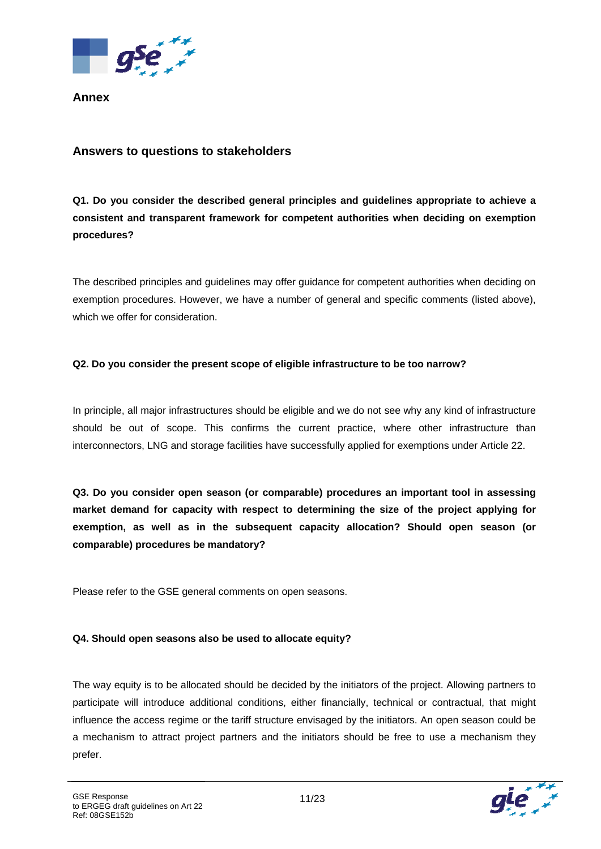

**Annex** 

### **Answers to questions to stakeholders**

**Q1. Do you consider the described general principles and guidelines appropriate to achieve a consistent and transparent framework for competent authorities when deciding on exemption procedures?** 

The described principles and guidelines may offer guidance for competent authorities when deciding on exemption procedures. However, we have a number of general and specific comments (listed above), which we offer for consideration.

#### **Q2. Do you consider the present scope of eligible infrastructure to be too narrow?**

In principle, all major infrastructures should be eligible and we do not see why any kind of infrastructure should be out of scope. This confirms the current practice, where other infrastructure than interconnectors, LNG and storage facilities have successfully applied for exemptions under Article 22.

**Q3. Do you consider open season (or comparable) procedures an important tool in assessing market demand for capacity with respect to determining the size of the project applying for exemption, as well as in the subsequent capacity allocation? Should open season (or comparable) procedures be mandatory?** 

Please refer to the GSE general comments on open seasons.

#### **Q4. Should open seasons also be used to allocate equity?**

The way equity is to be allocated should be decided by the initiators of the project. Allowing partners to participate will introduce additional conditions, either financially, technical or contractual, that might influence the access regime or the tariff structure envisaged by the initiators. An open season could be a mechanism to attract project partners and the initiators should be free to use a mechanism they prefer.

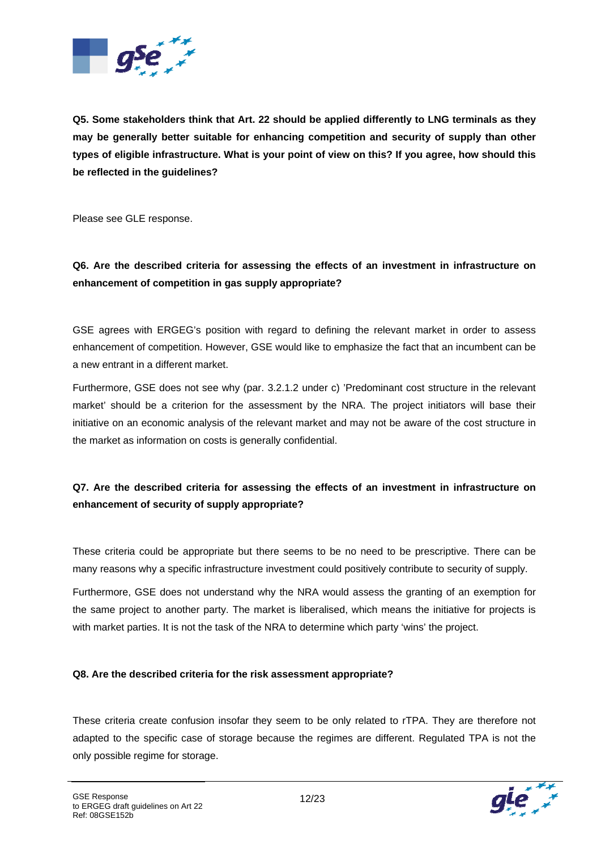

**Q5. Some stakeholders think that Art. 22 should be applied differently to LNG terminals as they may be generally better suitable for enhancing competition and security of supply than other types of eligible infrastructure. What is your point of view on this? If you agree, how should this be reflected in the guidelines?** 

Please see GLE response.

### **Q6. Are the described criteria for assessing the effects of an investment in infrastructure on enhancement of competition in gas supply appropriate?**

GSE agrees with ERGEG's position with regard to defining the relevant market in order to assess enhancement of competition. However, GSE would like to emphasize the fact that an incumbent can be a new entrant in a different market.

Furthermore, GSE does not see why (par. 3.2.1.2 under c) 'Predominant cost structure in the relevant market' should be a criterion for the assessment by the NRA. The project initiators will base their initiative on an economic analysis of the relevant market and may not be aware of the cost structure in the market as information on costs is generally confidential.

### **Q7. Are the described criteria for assessing the effects of an investment in infrastructure on enhancement of security of supply appropriate?**

These criteria could be appropriate but there seems to be no need to be prescriptive. There can be many reasons why a specific infrastructure investment could positively contribute to security of supply.

Furthermore, GSE does not understand why the NRA would assess the granting of an exemption for the same project to another party. The market is liberalised, which means the initiative for projects is with market parties. It is not the task of the NRA to determine which party 'wins' the project.

#### **Q8. Are the described criteria for the risk assessment appropriate?**

These criteria create confusion insofar they seem to be only related to rTPA. They are therefore not adapted to the specific case of storage because the regimes are different. Regulated TPA is not the only possible regime for storage.

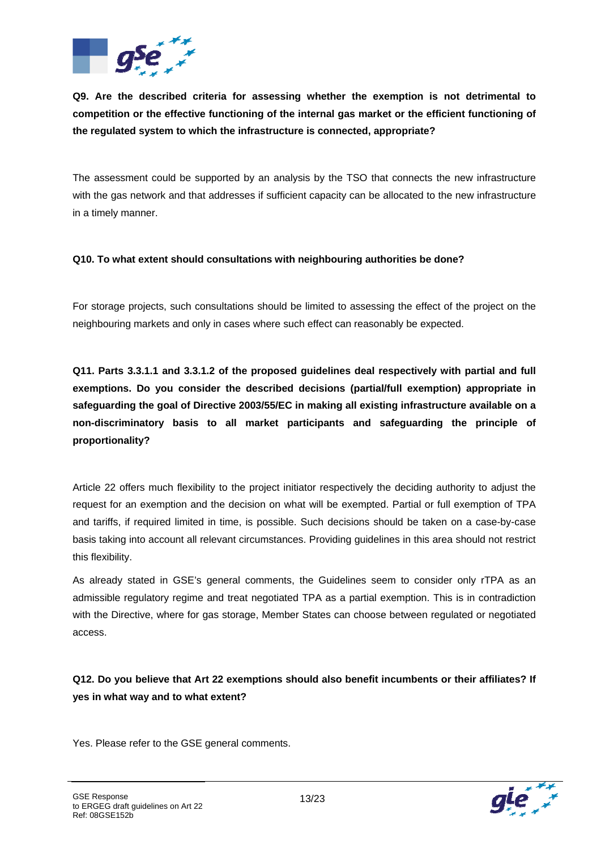

**Q9. Are the described criteria for assessing whether the exemption is not detrimental to competition or the effective functioning of the internal gas market or the efficient functioning of the regulated system to which the infrastructure is connected, appropriate?** 

The assessment could be supported by an analysis by the TSO that connects the new infrastructure with the gas network and that addresses if sufficient capacity can be allocated to the new infrastructure in a timely manner.

#### **Q10. To what extent should consultations with neighbouring authorities be done?**

For storage projects, such consultations should be limited to assessing the effect of the project on the neighbouring markets and only in cases where such effect can reasonably be expected.

**Q11. Parts 3.3.1.1 and 3.3.1.2 of the proposed guidelines deal respectively with partial and full exemptions. Do you consider the described decisions (partial/full exemption) appropriate in safeguarding the goal of Directive 2003/55/EC in making all existing infrastructure available on a non-discriminatory basis to all market participants and safeguarding the principle of proportionality?** 

Article 22 offers much flexibility to the project initiator respectively the deciding authority to adjust the request for an exemption and the decision on what will be exempted. Partial or full exemption of TPA and tariffs, if required limited in time, is possible. Such decisions should be taken on a case-by-case basis taking into account all relevant circumstances. Providing guidelines in this area should not restrict this flexibility.

As already stated in GSE's general comments, the Guidelines seem to consider only rTPA as an admissible regulatory regime and treat negotiated TPA as a partial exemption. This is in contradiction with the Directive, where for gas storage, Member States can choose between regulated or negotiated access.

**Q12. Do you believe that Art 22 exemptions should also benefit incumbents or their affiliates? If yes in what way and to what extent?** 

Yes. Please refer to the GSE general comments.

GSE Response

Ref: 08GSE152b

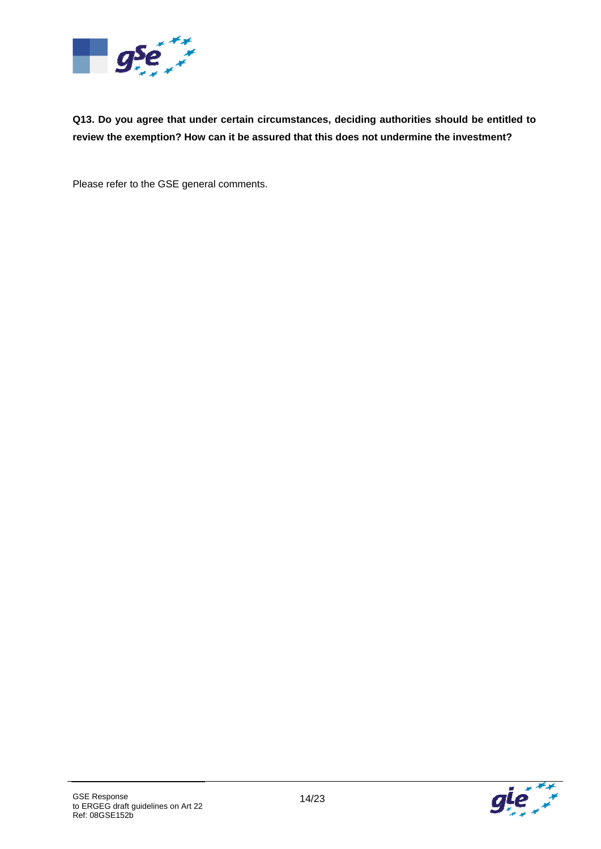

**Q13. Do you agree that under certain circumstances, deciding authorities should be entitled to review the exemption? How can it be assured that this does not undermine the investment?** 

Please refer to the GSE general comments.

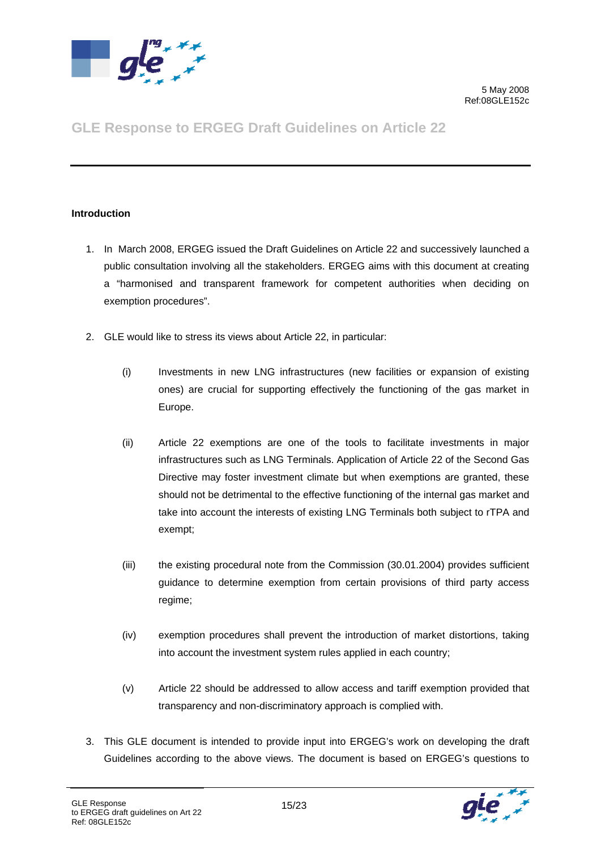

# **GLE Response to ERGEG Draft Guidelines on Article 22**

#### **Introduction**

- 1. In March 2008, ERGEG issued the Draft Guidelines on Article 22 and successively launched a public consultation involving all the stakeholders. ERGEG aims with this document at creating a "harmonised and transparent framework for competent authorities when deciding on exemption procedures".
- 2. GLE would like to stress its views about Article 22, in particular:
	- (i) Investments in new LNG infrastructures (new facilities or expansion of existing ones) are crucial for supporting effectively the functioning of the gas market in Europe.
	- (ii) Article 22 exemptions are one of the tools to facilitate investments in major infrastructures such as LNG Terminals. Application of Article 22 of the Second Gas Directive may foster investment climate but when exemptions are granted, these should not be detrimental to the effective functioning of the internal gas market and take into account the interests of existing LNG Terminals both subject to rTPA and exempt;
	- (iii) the existing procedural note from the Commission (30.01.2004) provides sufficient guidance to determine exemption from certain provisions of third party access regime;
	- (iv) exemption procedures shall prevent the introduction of market distortions, taking into account the investment system rules applied in each country;
	- (v) Article 22 should be addressed to allow access and tariff exemption provided that transparency and non-discriminatory approach is complied with.
- 3. This GLE document is intended to provide input into ERGEG's work on developing the draft Guidelines according to the above views. The document is based on ERGEG's questions to

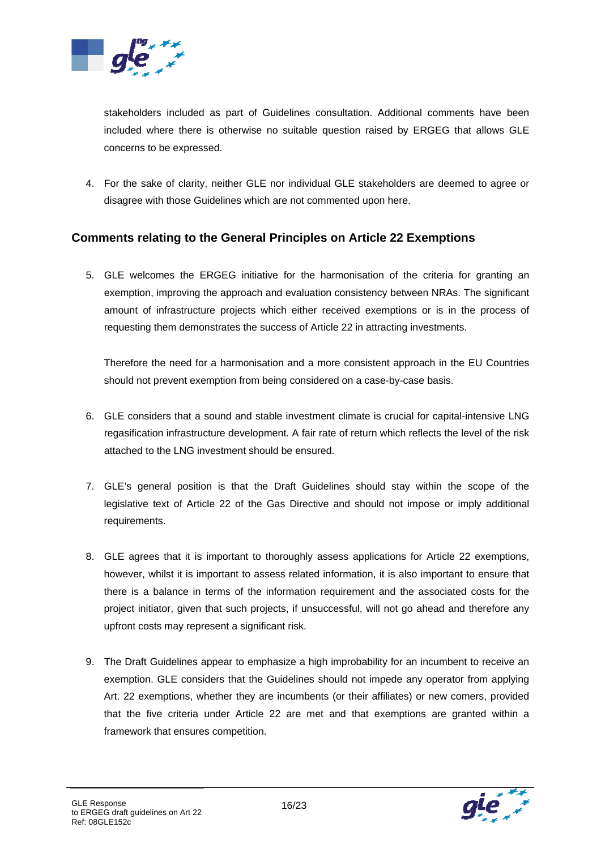

stakeholders included as part of Guidelines consultation. Additional comments have been included where there is otherwise no suitable question raised by ERGEG that allows GLE concerns to be expressed.

4. For the sake of clarity, neither GLE nor individual GLE stakeholders are deemed to agree or disagree with those Guidelines which are not commented upon here.

### **Comments relating to the General Principles on Article 22 Exemptions**

5. GLE welcomes the ERGEG initiative for the harmonisation of the criteria for granting an exemption, improving the approach and evaluation consistency between NRAs. The significant amount of infrastructure projects which either received exemptions or is in the process of requesting them demonstrates the success of Article 22 in attracting investments.

Therefore the need for a harmonisation and a more consistent approach in the EU Countries should not prevent exemption from being considered on a case-by-case basis.

- 6. GLE considers that a sound and stable investment climate is crucial for capital-intensive LNG regasification infrastructure development. A fair rate of return which reflects the level of the risk attached to the LNG investment should be ensured.
- 7. GLE's general position is that the Draft Guidelines should stay within the scope of the legislative text of Article 22 of the Gas Directive and should not impose or imply additional requirements.
- 8. GLE agrees that it is important to thoroughly assess applications for Article 22 exemptions, however, whilst it is important to assess related information, it is also important to ensure that there is a balance in terms of the information requirement and the associated costs for the project initiator, given that such projects, if unsuccessful, will not go ahead and therefore any upfront costs may represent a significant risk.
- 9. The Draft Guidelines appear to emphasize a high improbability for an incumbent to receive an exemption. GLE considers that the Guidelines should not impede any operator from applying Art. 22 exemptions, whether they are incumbents (or their affiliates) or new comers, provided that the five criteria under Article 22 are met and that exemptions are granted within a framework that ensures competition.

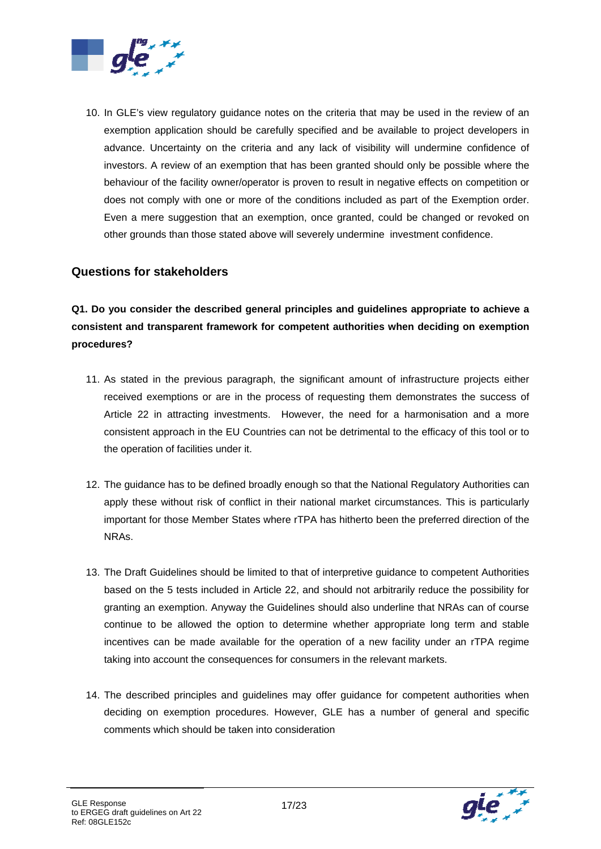

10. In GLE's view regulatory guidance notes on the criteria that may be used in the review of an exemption application should be carefully specified and be available to project developers in advance. Uncertainty on the criteria and any lack of visibility will undermine confidence of investors. A review of an exemption that has been granted should only be possible where the behaviour of the facility owner/operator is proven to result in negative effects on competition or does not comply with one or more of the conditions included as part of the Exemption order. Even a mere suggestion that an exemption, once granted, could be changed or revoked on other grounds than those stated above will severely undermine investment confidence.

### **Questions for stakeholders**

**Q1. Do you consider the described general principles and guidelines appropriate to achieve a consistent and transparent framework for competent authorities when deciding on exemption procedures?** 

- 11. As stated in the previous paragraph, the significant amount of infrastructure projects either received exemptions or are in the process of requesting them demonstrates the success of Article 22 in attracting investments. However, the need for a harmonisation and a more consistent approach in the EU Countries can not be detrimental to the efficacy of this tool or to the operation of facilities under it.
- 12. The guidance has to be defined broadly enough so that the National Regulatory Authorities can apply these without risk of conflict in their national market circumstances. This is particularly important for those Member States where rTPA has hitherto been the preferred direction of the NRAs.
- 13. The Draft Guidelines should be limited to that of interpretive guidance to competent Authorities based on the 5 tests included in Article 22, and should not arbitrarily reduce the possibility for granting an exemption. Anyway the Guidelines should also underline that NRAs can of course continue to be allowed the option to determine whether appropriate long term and stable incentives can be made available for the operation of a new facility under an rTPA regime taking into account the consequences for consumers in the relevant markets.
- 14. The described principles and guidelines may offer guidance for competent authorities when deciding on exemption procedures. However, GLE has a number of general and specific comments which should be taken into consideration



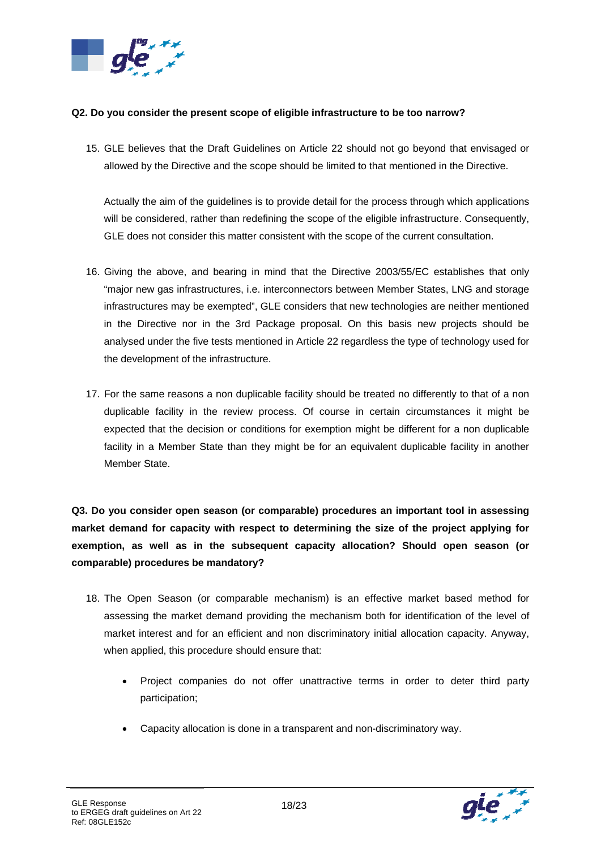

#### **Q2. Do you consider the present scope of eligible infrastructure to be too narrow?**

15. GLE believes that the Draft Guidelines on Article 22 should not go beyond that envisaged or allowed by the Directive and the scope should be limited to that mentioned in the Directive.

Actually the aim of the guidelines is to provide detail for the process through which applications will be considered, rather than redefining the scope of the eligible infrastructure. Consequently, GLE does not consider this matter consistent with the scope of the current consultation.

- 16. Giving the above, and bearing in mind that the Directive 2003/55/EC establishes that only "major new gas infrastructures, i.e. interconnectors between Member States, LNG and storage infrastructures may be exempted", GLE considers that new technologies are neither mentioned in the Directive nor in the 3rd Package proposal. On this basis new projects should be analysed under the five tests mentioned in Article 22 regardless the type of technology used for the development of the infrastructure.
- 17. For the same reasons a non duplicable facility should be treated no differently to that of a non duplicable facility in the review process. Of course in certain circumstances it might be expected that the decision or conditions for exemption might be different for a non duplicable facility in a Member State than they might be for an equivalent duplicable facility in another Member State.

**Q3. Do you consider open season (or comparable) procedures an important tool in assessing market demand for capacity with respect to determining the size of the project applying for exemption, as well as in the subsequent capacity allocation? Should open season (or comparable) procedures be mandatory?** 

- 18. The Open Season (or comparable mechanism) is an effective market based method for assessing the market demand providing the mechanism both for identification of the level of market interest and for an efficient and non discriminatory initial allocation capacity. Anyway, when applied, this procedure should ensure that:
	- Project companies do not offer unattractive terms in order to deter third party participation;
	- Capacity allocation is done in a transparent and non-discriminatory way.

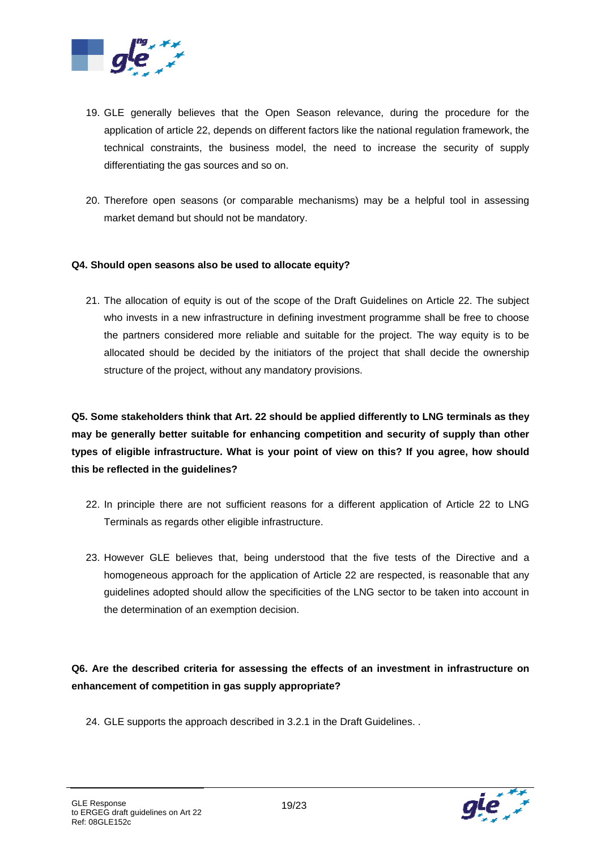

- 19. GLE generally believes that the Open Season relevance, during the procedure for the application of article 22, depends on different factors like the national regulation framework, the technical constraints, the business model, the need to increase the security of supply differentiating the gas sources and so on.
- 20. Therefore open seasons (or comparable mechanisms) may be a helpful tool in assessing market demand but should not be mandatory.

#### **Q4. Should open seasons also be used to allocate equity?**

21. The allocation of equity is out of the scope of the Draft Guidelines on Article 22. The subject who invests in a new infrastructure in defining investment programme shall be free to choose the partners considered more reliable and suitable for the project. The way equity is to be allocated should be decided by the initiators of the project that shall decide the ownership structure of the project, without any mandatory provisions.

**Q5. Some stakeholders think that Art. 22 should be applied differently to LNG terminals as they may be generally better suitable for enhancing competition and security of supply than other types of eligible infrastructure. What is your point of view on this? If you agree, how should this be reflected in the guidelines?** 

- 22. In principle there are not sufficient reasons for a different application of Article 22 to LNG Terminals as regards other eligible infrastructure.
- 23. However GLE believes that, being understood that the five tests of the Directive and a homogeneous approach for the application of Article 22 are respected, is reasonable that any guidelines adopted should allow the specificities of the LNG sector to be taken into account in the determination of an exemption decision.

**Q6. Are the described criteria for assessing the effects of an investment in infrastructure on enhancement of competition in gas supply appropriate?** 

24. GLE supports the approach described in 3.2.1 in the Draft Guidelines. .

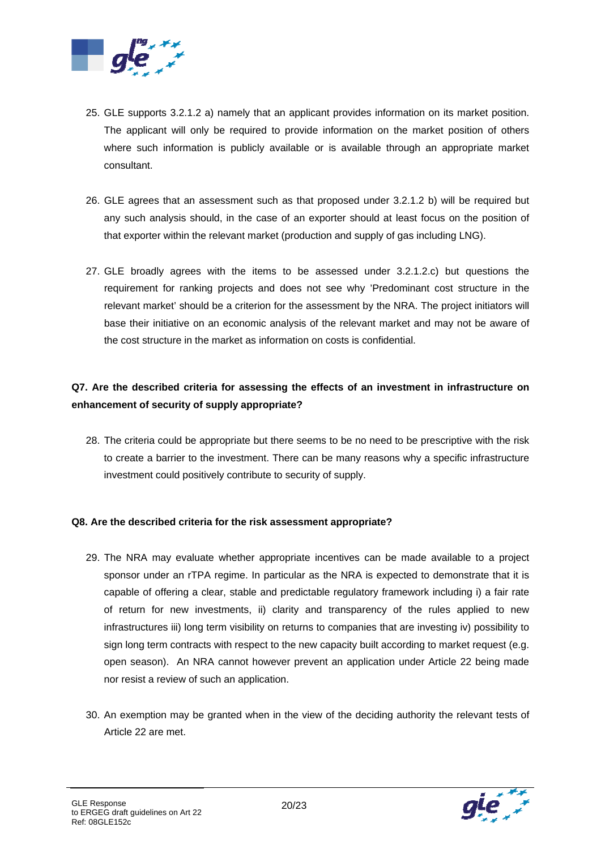

- 25. GLE supports 3.2.1.2 a) namely that an applicant provides information on its market position. The applicant will only be required to provide information on the market position of others where such information is publicly available or is available through an appropriate market consultant.
- 26. GLE agrees that an assessment such as that proposed under 3.2.1.2 b) will be required but any such analysis should, in the case of an exporter should at least focus on the position of that exporter within the relevant market (production and supply of gas including LNG).
- 27. GLE broadly agrees with the items to be assessed under 3.2.1.2.c) but questions the requirement for ranking projects and does not see why 'Predominant cost structure in the relevant market' should be a criterion for the assessment by the NRA. The project initiators will base their initiative on an economic analysis of the relevant market and may not be aware of the cost structure in the market as information on costs is confidential.

### **Q7. Are the described criteria for assessing the effects of an investment in infrastructure on enhancement of security of supply appropriate?**

28. The criteria could be appropriate but there seems to be no need to be prescriptive with the risk to create a barrier to the investment. There can be many reasons why a specific infrastructure investment could positively contribute to security of supply.

#### **Q8. Are the described criteria for the risk assessment appropriate?**

- 29. The NRA may evaluate whether appropriate incentives can be made available to a project sponsor under an rTPA regime. In particular as the NRA is expected to demonstrate that it is capable of offering a clear, stable and predictable regulatory framework including i) a fair rate of return for new investments, ii) clarity and transparency of the rules applied to new infrastructures iii) long term visibility on returns to companies that are investing iv) possibility to sign long term contracts with respect to the new capacity built according to market request (e.g. open season). An NRA cannot however prevent an application under Article 22 being made nor resist a review of such an application.
- 30. An exemption may be granted when in the view of the deciding authority the relevant tests of Article 22 are met.

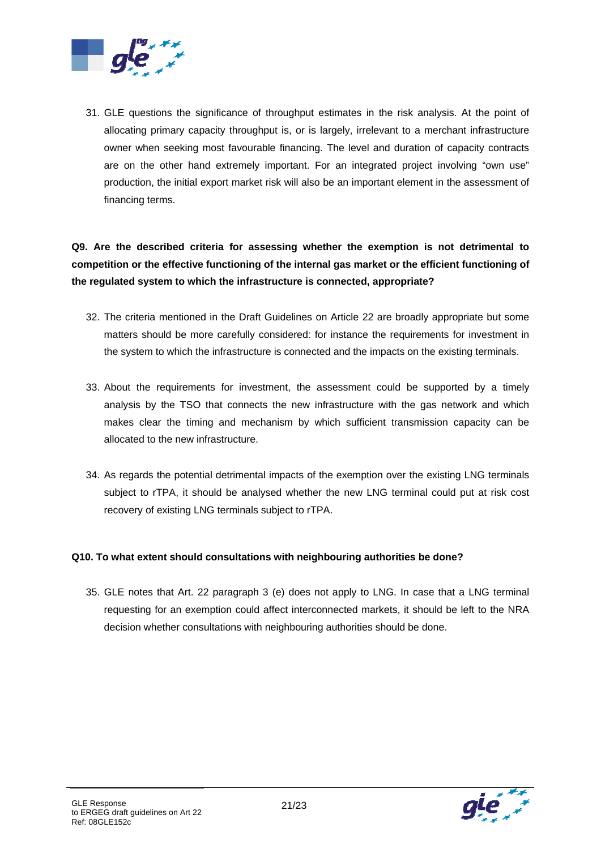

31. GLE questions the significance of throughput estimates in the risk analysis. At the point of allocating primary capacity throughput is, or is largely, irrelevant to a merchant infrastructure owner when seeking most favourable financing. The level and duration of capacity contracts are on the other hand extremely important. For an integrated project involving "own use" production, the initial export market risk will also be an important element in the assessment of financing terms.

## **Q9. Are the described criteria for assessing whether the exemption is not detrimental to competition or the effective functioning of the internal gas market or the efficient functioning of the regulated system to which the infrastructure is connected, appropriate?**

- 32. The criteria mentioned in the Draft Guidelines on Article 22 are broadly appropriate but some matters should be more carefully considered: for instance the requirements for investment in the system to which the infrastructure is connected and the impacts on the existing terminals.
- 33. About the requirements for investment, the assessment could be supported by a timely analysis by the TSO that connects the new infrastructure with the gas network and which makes clear the timing and mechanism by which sufficient transmission capacity can be allocated to the new infrastructure.
- 34. As regards the potential detrimental impacts of the exemption over the existing LNG terminals subject to rTPA, it should be analysed whether the new LNG terminal could put at risk cost recovery of existing LNG terminals subject to rTPA.

#### **Q10. To what extent should consultations with neighbouring authorities be done?**

35. GLE notes that Art. 22 paragraph 3 (e) does not apply to LNG. In case that a LNG terminal requesting for an exemption could affect interconnected markets, it should be left to the NRA decision whether consultations with neighbouring authorities should be done.

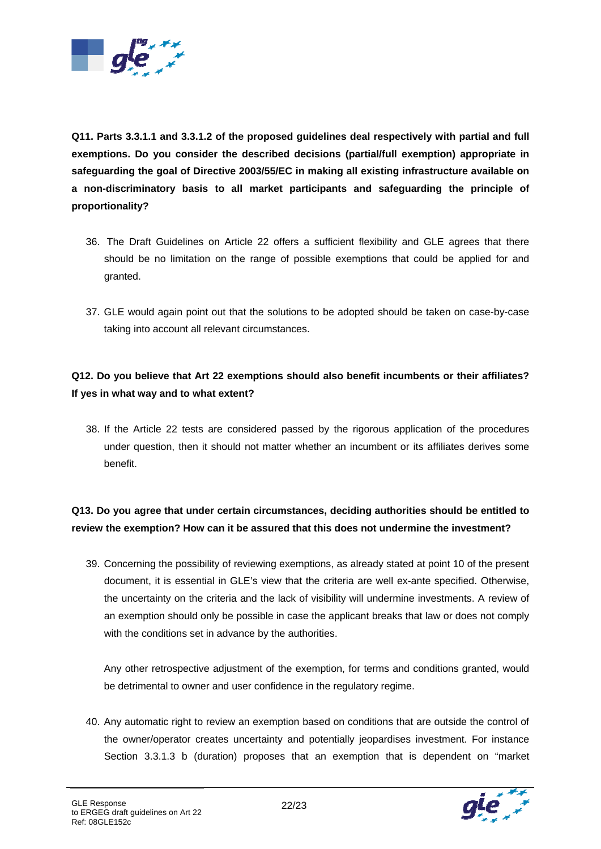

**Q11. Parts 3.3.1.1 and 3.3.1.2 of the proposed guidelines deal respectively with partial and full exemptions. Do you consider the described decisions (partial/full exemption) appropriate in safeguarding the goal of Directive 2003/55/EC in making all existing infrastructure available on a non-discriminatory basis to all market participants and safeguarding the principle of proportionality?** 

- 36. The Draft Guidelines on Article 22 offers a sufficient flexibility and GLE agrees that there should be no limitation on the range of possible exemptions that could be applied for and granted.
- 37. GLE would again point out that the solutions to be adopted should be taken on case-by-case taking into account all relevant circumstances.

### **Q12. Do you believe that Art 22 exemptions should also benefit incumbents or their affiliates? If yes in what way and to what extent?**

38. If the Article 22 tests are considered passed by the rigorous application of the procedures under question, then it should not matter whether an incumbent or its affiliates derives some benefit.

### **Q13. Do you agree that under certain circumstances, deciding authorities should be entitled to review the exemption? How can it be assured that this does not undermine the investment?**

39. Concerning the possibility of reviewing exemptions, as already stated at point 10 of the present document, it is essential in GLE's view that the criteria are well ex-ante specified. Otherwise, the uncertainty on the criteria and the lack of visibility will undermine investments. A review of an exemption should only be possible in case the applicant breaks that law or does not comply with the conditions set in advance by the authorities.

Any other retrospective adjustment of the exemption, for terms and conditions granted, would be detrimental to owner and user confidence in the regulatory regime.

40. Any automatic right to review an exemption based on conditions that are outside the control of the owner/operator creates uncertainty and potentially jeopardises investment. For instance Section 3.3.1.3 b (duration) proposes that an exemption that is dependent on "market